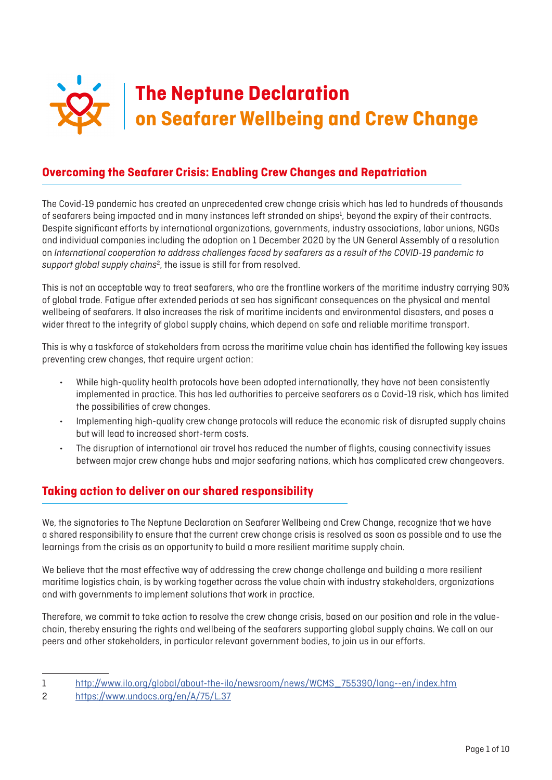

# **Overcoming the Seafarer Crisis: Enabling Crew Changes and Repatriation**

The Covid-19 pandemic has created an unprecedented crew change crisis which has led to hundreds of thousands of seafarers being impacted and in many instances left stranded on ships<sup>1</sup>, beyond the expiry of their contracts. Despite significant efforts by international organizations, governments, industry associations, labor unions, NGOs and individual companies including the adoption on 1 December 2020 by the UN General Assembly of a resolution on *International cooperation to address challenges faced by seafarers as a result of the COVID-19 pandemic to*  support global supply chains<sup>2</sup>, the issue is still far from resolved.

This is not an acceptable way to treat seafarers, who are the frontline workers of the maritime industry carrying 90% of global trade. Fatigue after extended periods at sea has significant consequences on the physical and mental wellbeing of seafarers. It also increases the risk of maritime incidents and environmental disasters, and poses a wider threat to the integrity of global supply chains, which depend on safe and reliable maritime transport.

This is why a taskforce of stakeholders from across the maritime value chain has identified the following key issues preventing crew changes, that require urgent action:

- While high-quality health protocols have been adopted internationally, they have not been consistently implemented in practice. This has led authorities to perceive seafarers as a Covid-19 risk, which has limited the possibilities of crew changes.
- Implementing high-quality crew change protocols will reduce the economic risk of disrupted supply chains but will lead to increased short-term costs.
- The disruption of international air travel has reduced the number of flights, causing connectivity issues between major crew change hubs and major seafaring nations, which has complicated crew changeovers.

# **Taking action to deliver on our shared responsibility**

We, the signatories to The Neptune Declaration on Seafarer Wellbeing and Crew Change, recognize that we have a shared responsibility to ensure that the current crew change crisis is resolved as soon as possible and to use the learnings from the crisis as an opportunity to build a more resilient maritime supply chain.

We believe that the most effective way of addressing the crew change challenge and building a more resilient maritime logistics chain, is by working together across the value chain with industry stakeholders, organizations and with governments to implement solutions that work in practice.

Therefore, we commit to take action to resolve the crew change crisis, based on our position and role in the valuechain, thereby ensuring the rights and wellbeing of the seafarers supporting global supply chains. We call on our peers and other stakeholders, in particular relevant government bodies, to join us in our efforts.

<sup>1</sup> [http://www.ilo.org/global/about-the-ilo/newsroom/news/WCMS\\_755390/lang--en/index.htm](http://www.ilo.org/global/about-the-ilo/newsroom/news/WCMS_755390/lang--en/index.htm)

<sup>2</sup> <https://www.undocs.org/en/A/75/L.37>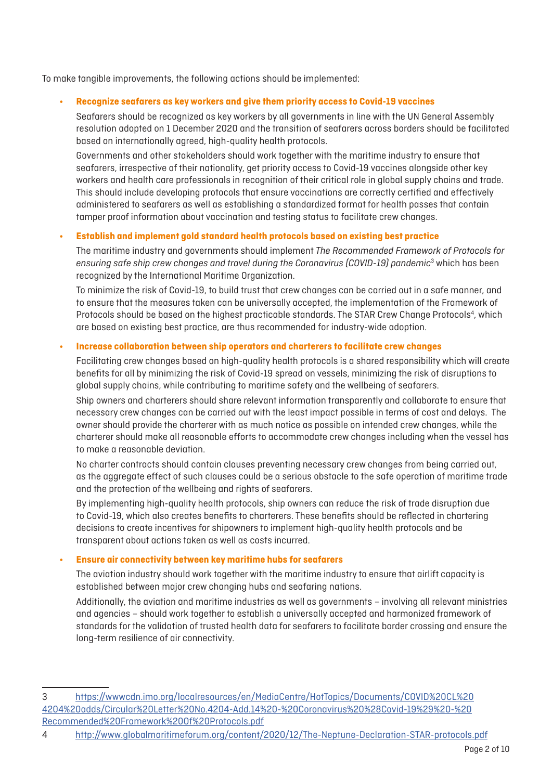To make tangible improvements, the following actions should be implemented:

#### **• Recognize seafarers as key workers and give them priority access to Covid-19 vaccines**

Seafarers should be recognized as key workers by all governments in line with the UN General Assembly resolution adopted on 1 December 2020 and the transition of seafarers across borders should be facilitated based on internationally agreed, high-quality health protocols.

Governments and other stakeholders should work together with the maritime industry to ensure that seafarers, irrespective of their nationality, get priority access to Covid-19 vaccines alongside other key workers and health care professionals in recognition of their critical role in global supply chains and trade. This should include developing protocols that ensure vaccinations are correctly certified and effectively administered to seafarers as well as establishing a standardized format for health passes that contain tamper proof information about vaccination and testing status to facilitate crew changes.

#### **• Establish and implement gold standard health protocols based on existing best practice**

The maritime industry and governments should implement *The Recommended Framework of Protocols for ensuring safe ship crew changes and travel during the Coronavirus (COVID-19) pandemic*<sup>3</sup> which has been recognized by the International Maritime Organization.

To minimize the risk of Covid-19, to build trust that crew changes can be carried out in a safe manner, and to ensure that the measures taken can be universally accepted, the implementation of the Framework of Protocols should be based on the highest practicable standards. The STAR Crew Change Protocols<sup>4</sup>, which are based on existing best practice, are thus recommended for industry-wide adoption.

#### **• Increase collaboration between ship operators and charterers to facilitate crew changes**

Facilitating crew changes based on high-quality health protocols is a shared responsibility which will create benefits for all by minimizing the risk of Covid-19 spread on vessels, minimizing the risk of disruptions to global supply chains, while contributing to maritime safety and the wellbeing of seafarers.

Ship owners and charterers should share relevant information transparently and collaborate to ensure that necessary crew changes can be carried out with the least impact possible in terms of cost and delays. The owner should provide the charterer with as much notice as possible on intended crew changes, while the charterer should make all reasonable efforts to accommodate crew changes including when the vessel has to make a reasonable deviation.

No charter contracts should contain clauses preventing necessary crew changes from being carried out, as the aggregate effect of such clauses could be a serious obstacle to the safe operation of maritime trade and the protection of the wellbeing and rights of seafarers.

By implementing high-quality health protocols, ship owners can reduce the risk of trade disruption due to Covid-19, which also creates benefits to charterers. These benefits should be reflected in chartering decisions to create incentives for shipowners to implement high-quality health protocols and be transparent about actions taken as well as costs incurred.

## **• Ensure air connectivity between key maritime hubs for seafarers**

The aviation industry should work together with the maritime industry to ensure that airlift capacity is established between major crew changing hubs and seafaring nations.

Additionally, the aviation and maritime industries as well as governments – involving all relevant ministries and agencies – should work together to establish a universally accepted and harmonized framework of standards for the validation of trusted health data for seafarers to facilitate border crossing and ensure the long-term resilience of air connectivity.

<sup>3</sup> [https://wwwcdn.imo.org/localresources/en/MediaCentre/HotTopics/Documents/COVID%20CL%20](https://wwwcdn.imo.org/localresources/en/MediaCentre/HotTopics/Documents/COVID%20CL%204204%20adds/Circular%20Letter%20No.4204-Add.14%20-%20Coronavirus%20%28Covid-19%29%20-%20Recommended%20Framework%20Of%20Protocols.pdf) [4204%20adds/Circular%20Letter%20No.4204-Add.14%20-%20Coronavirus%20%28Covid-19%29%20-%20](https://wwwcdn.imo.org/localresources/en/MediaCentre/HotTopics/Documents/COVID%20CL%204204%20adds/Circular%20Letter%20No.4204-Add.14%20-%20Coronavirus%20%28Covid-19%29%20-%20Recommended%20Framework%20Of%20Protocols.pdf) [Recommended%20Framework%20Of%20Protocols.pdf](https://wwwcdn.imo.org/localresources/en/MediaCentre/HotTopics/Documents/COVID%20CL%204204%20adds/Circular%20Letter%20No.4204-Add.14%20-%20Coronavirus%20%28Covid-19%29%20-%20Recommended%20Framework%20Of%20Protocols.pdf)

<sup>4</sup> <http://www.globalmaritimeforum.org/content/2020/12/The-Neptune-Declaration-STAR-protocols.pdf>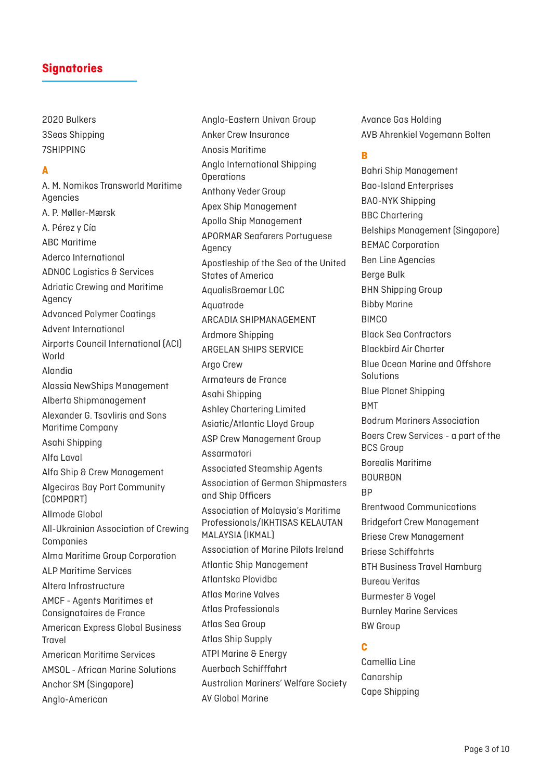2020 Bulkers 3Seas Shipping 7SHIPPING

## **A**

A. M. Nomikos Transworld Maritime Agencies A. P. Møller-Mærsk A. Pérez y Cía ABC Maritime Aderco International ADNOC Logistics & Services Adriatic Crewing and Maritime Agency Advanced Polymer Coatings Advent International Airports Council International (ACI) World Alandia Alassia NewShips Management Alberta Shipmanagement Alexander G. Tsavliris and Sons Maritime Company Asahi Shipping Alfa Laval Alfa Ship & Crew Management Algeciras Bay Port Community (COMPORT) Allmode Global All-Ukrainian Association of Crewing Companies Alma Maritime Group Corporation ALP Maritime Services Altera Infrastructure AMCF - Agents Maritimes et Consignataires de France American Express Global Business Travel American Maritime Services AMSOL - African Marine Solutions Anchor SM (Singapore) Anglo-American

Anglo-Eastern Univan Group Anker Crew Insurance Anosis Maritime Anglo International Shipping **Operations** Anthony Veder Group Apex Ship Management Apollo Ship Management APORMAR Seafarers Portuguese Agency Apostleship of the Sea of the United States of America AqualisBraemar LOC Aquatrade ARCADIA SHIPMANAGEMENT Ardmore Shipping ARGELAN SHIPS SERVICE Argo Crew Armateurs de France Asahi Shipping Ashley Chartering Limited Asiatic/Atlantic Lloyd Group ASP Crew Management Group Assarmatori Associated Steamship Agents Association of German Shipmasters and Ship Officers Association of Malaysia's Maritime Professionals/IKHTISAS KELAUTAN MALAYSIA (IKMAL) Association of Marine Pilots Ireland Atlantic Ship Management Atlantska Plovidba Atlas Marine Valves Atlas Professionals Atlas Sea Group Atlas Ship Supply ATPI Marine & Energy Auerbach Schifffahrt Australian Mariners' Welfare Society AV Global Marine

Avance Gas Holding AVB Ahrenkiel Vogemann Bolten

## **B**

Bahri Ship Management Bao-Island Enterprises BAO-NYK Shipping BBC Chartering Belships Management (Singapore) BEMAC Corporation Ben Line Agencies Berge Bulk BHN Shipping Group Bibby Marine BIMCO Black Sea Contractors Blackbird Air Charter Blue Ocean Marine and Offshore Solutions Blue Planet Shipping **BMT** Bodrum Mariners Association Boers Crew Services - a part of the BCS Group Borealis Maritime **BOURBON RP** Brentwood Communications Bridgefort Crew Management Briese Crew Management Briese Schiffahrts BTH Business Travel Hamburg Bureau Veritas Burmester & Vogel Burnley Marine Services BW Group

## **C**

Camellia Line Canarship Cape Shipping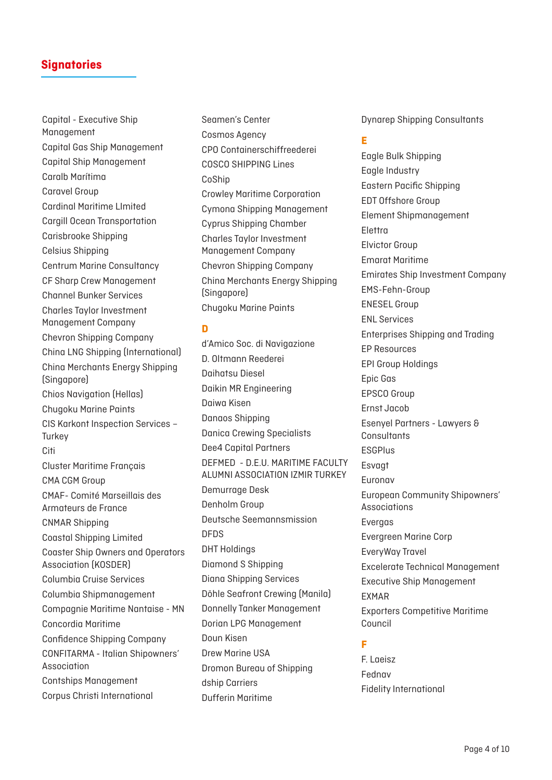Capital - Executive Ship Management Capital Gas Ship Management Capital Ship Management Caralb Marítima Caravel Group Cardinal Maritime LImited Cargill Ocean Transportation Carisbrooke Shipping Celsius Shipping Centrum Marine Consultancy CF Sharp Crew Management Channel Bunker Services Charles Taylor Investment Management Company Chevron Shipping Company China LNG Shipping (International) China Merchants Energy Shipping (Singapore) Chios Navigation (Hellas) Chugoku Marine Paints CIS Karkont Inspection Services – **Turkey Citi** Cluster Maritime Français CMA CGM Group CMAF- Comité Marseillais des Armateurs de France CNMAR Shipping Coastal Shipping Limited Coaster Ship Owners and Operators Association (KOSDER) Columbia Cruise Services Columbia Shipmanagement Compagnie Maritime Nantaise - MN Concordia Maritime Confidence Shipping Company CONFITARMA - Italian Shipowners' Association Contships Management Corpus Christi International

Seamen's Center Cosmos Agency CPO Containerschiffreederei COSCO SHIPPING Lines CoShip Crowley Maritime Corporation Cymona Shipping Management Cyprus Shipping Chamber Charles Taylor Investment Management Company Chevron Shipping Company China Merchants Energy Shipping (Singapore) Chugoku Marine Paints

#### **D**

d'Amico Soc. di Navigazione D. Oltmann Reederei Daihatsu Diesel Daikin MR Engineering Daiwa Kisen Danaos Shipping Danica Crewing Specialists Dee4 Capital Partners DEFMED - D.E.U. MARITIME FACULTY ALUMNI ASSOCIATION IZMIR TURKEY Demurrage Desk Denholm Group Deutsche Seemannsmission DFDS DHT Holdings Diamond S Shipping Diana Shipping Services Döhle Seafront Crewing (Manila) Donnelly Tanker Management Dorian LPG Management Doun Kisen Drew Marine USA Dromon Bureau of Shipping dship Carriers Dufferin Maritime

Dynarep Shipping Consultants

## **E**

Eagle Bulk Shipping Eagle Industry Eastern Pacific Shipping EDT Offshore Group Element Shipmanagement Elettra Elvictor Group Emarat Maritime Emirates Ship Investment Company EMS-Fehn-Group ENESEL Group ENL Services Enterprises Shipping and Trading EP Resources EPI Group Holdings Epic Gas EPSCO Group Ernst Jacob Esenyel Partners - Lawyers & **Consultants ESGPlus Esvaat** Euronav European Community Shipowners' Associations Evergas Evergreen Marine Corp EveryWay Travel Excelerate Technical Management Executive Ship Management EXMAR Exporters Competitive Maritime Council

## **F**

F. Laeisz Fednav Fidelity International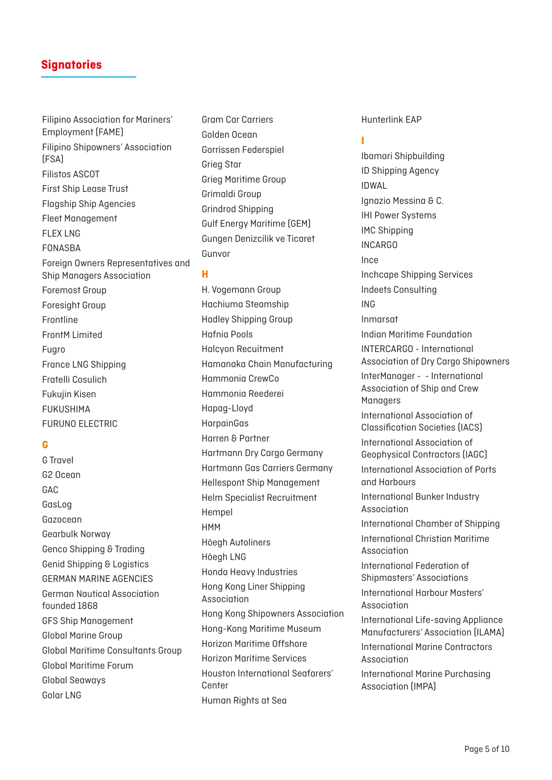Filipino Association for Mariners' Employment (FAME) Filipino Shipowners' Association (FSA) Filistos ASCOT First Ship Lease Trust Flagship Ship Agencies Fleet Management FLEX LNG FONASBA Foreign Owners Representatives and Ship Managers Association Foremost Group Foresight Group Frontline FrontM Limited Fugro France LNG Shipping Fratelli Cosulich Fukujin Kisen FUKUSHIMA FURUNO ELECTRIC

## **G**

G Travel G2 Ocean GAC GasLog Gazocean Gearbulk Norway Genco Shipping & Trading Genid Shipping & Logistics GERMAN MARINE AGENCIES German Nautical Association founded 1868 GFS Ship Management Global Marine Group Global Maritime Consultants Group Global Maritime Forum Global Seaways Golar LNG

Gram Car Carriers Golden Ocean Gorrissen Federspiel Grieg Star Grieg Maritime Group Grimaldi Group Grindrod Shipping Gulf Energy Maritime (GEM) Gungen Denizcilik ve Ticaret Gunvor

#### **H**

H. Vogemann Group Hachiuma Steamship Hadley Shipping Group Hafnia Pools Halcyon Recuitment Hamanaka Chain Manufacturing Hammonia CrewCo Hammonia Reederei Hapag-Lloyd HarpainGas Harren & Partner Hartmann Dry Cargo Germany Hartmann Gas Carriers Germany Hellespont Ship Management Helm Specialist Recruitment Hempel **HMM** Höegh Autoliners Höegh LNG Honda Heavy Industries Hong Kong Liner Shipping Association Hong Kong Shipowners Association Hong-Kong Maritime Museum Horizon Maritime Offshore Horizon Maritime Services Houston International Seafarers' Center Human Rights at Sea

Hunterlink EAP

## **I**

Ibamari Shipbuilding ID Shipping Agency IDWAL Ignazio Messina & C. IHI Power Systems IMC Shipping INCARGO Ince Inchcape Shipping Services Indeets Consulting ING Inmarsat Indian Maritime Foundation INTERCARGO - International Association of Dry Cargo Shipowners InterManager - - International Association of Ship and Crew **Managers** International Association of Classification Societies (IACS) International Association of Geophysical Contractors (IAGC) International Association of Ports and Harbours International Bunker Industry Association International Chamber of Shipping International Christian Maritime Association International Federation of Shipmasters' Associations International Harbour Masters' Association International Life-saving Appliance Manufacturers' Association (ILAMA) International Marine Contractors Association International Marine Purchasing Association (IMPA)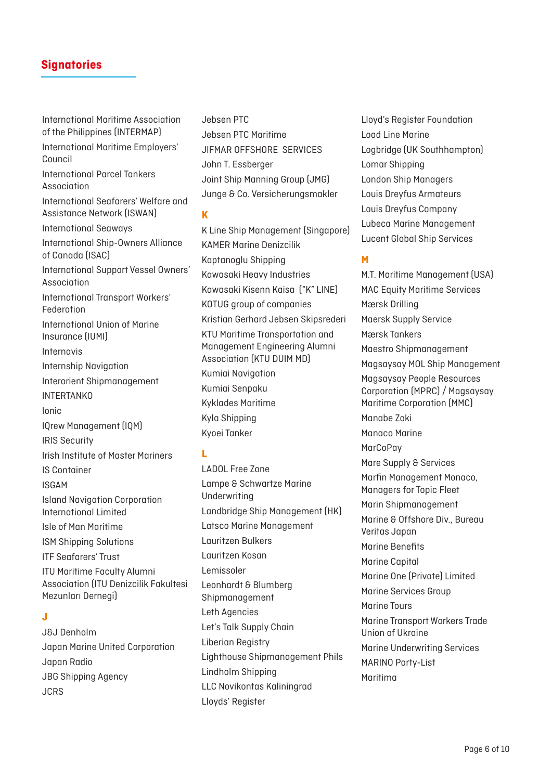International Maritime Association of the Philippines (INTERMAP) International Maritime Employers' Council International Parcel Tankers Association International Seafarers' Welfare and Assistance Network (ISWAN) International Seaways International Ship-Owners Alliance of Canada (ISAC) International Support Vessel Owners' Association International Transport Workers' Federation International Union of Marine Insurance (IUMI) Internavis Internship Navigation Interorient Shipmanagement INTERTANKO Ionic IQrew Management (IQM) IRIS Security Irish Institute of Master Mariners IS Container ISGAM Island Navigation Corporation International Limited Isle of Man Maritime ISM Shipping Solutions ITF Seafarers' Trust ITU Maritime Faculty Alumni Association (ITU Denizcilik Fakultesi Mezunları Dernegi) **J**

J&J Denholm Japan Marine United Corporation Japan Radio JBG Shipping Agency JCRS

Jebsen PTC Jebsen PTC Maritime JIFMAR OFFSHORE SERVICES John T. Essberger Joint Ship Manning Group (JMG) Junge & Co. Versicherungsmakler

#### **K**

K Line Ship Management (Singapore) KAMER Marine Denizcilik Kaptanoglu Shipping Kawasaki Heavy Industries Kawasaki Kisenn Kaisa ("K" LINE) KOTUG group of companies Kristian Gerhard Jebsen Skipsrederi KTU Maritime Transportation and Management Engineering Alumni Association (KTU DUIM MD) Kumiai Navigation Kumiai Senpaku Kyklades Maritime Kyla Shipping Kyoei Tanker

# **L**

LADOL Free Zone Lampe & Schwartze Marine Underwriting Landbridge Ship Management (HK) Latsco Marine Management Lauritzen Bulkers Lauritzen Kosan Lemissoler Leonhardt & Blumberg Shipmanagement Leth Agencies Let's Talk Supply Chain Liberian Registry Lighthouse Shipmanagement Phils Lindholm Shipping LLC Novikontas Kaliningrad Lloyds' Register

Lloyd's Register Foundation Load Line Marine Logbridge (UK Southhampton) Lomar Shipping London Ship Managers Louis Dreyfus Armateurs Louis Dreyfus Company Lubeca Marine Management Lucent Global Ship Services

# **M**

M.T. Maritime Management (USA) MAC Equity Maritime Services Mærsk Drilling Maersk Supply Service Mærsk Tankers Maestro Shipmanagement Magsaysay MOL Ship Management Magsaysay People Resources Corporation (MPRC) / Magsaysay Maritime Corporation (MMC) Manabe Zoki Manaco Marine **MarCoPav** Mare Supply & Services Marfin Management Monaco, Managers for Topic Fleet Marin Shipmanagement Marine & Offshore Div., Bureau Veritas Japan Marine Benefits Marine Capital Marine One (Private) Limited Marine Services Group Marine Tours Marine Transport Workers Trade Union of Ukraine Marine Underwriting Services MARINO Party-List Maritima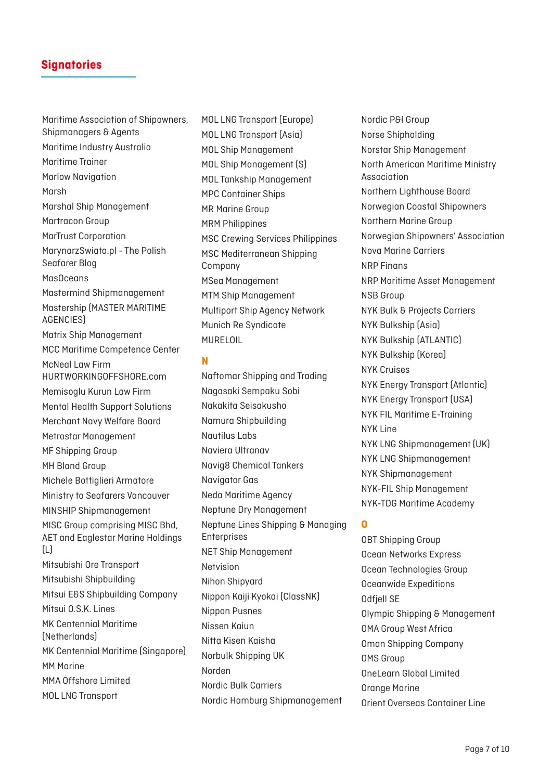Maritime Association of Shipowners, Shipmanagers & Agents Maritime Industry Australia Maritime Trainer Marlow Navigation Marsh Marshal Ship Management Martracon Group MarTrust Corporation MarynarzSwiata.pl - The Polish Seafarer Blog MasOceans Mastermind Shipmanagement Mastership (MASTER MARITIME AGENCIES) Matrix Ship Management MCC Maritime Competence Center McNeal Law Firm HURTWORKINGOFFSHORE.com Memisoglu Kurun Law Firm Mental Health Support Solutions Merchant Navy Welfare Board Metrostar Management MF Shipping Group MH Bland Group Michele Bottiglieri Armatore Ministry to Seafarers Vancouver MINSHIP Shipmanagement MISC Group comprising MISC Bhd, AET and Eaglestar Marine Holdings (L) Mitsubishi Ore Transport Mitsubishi Shipbuilding Mitsui E&S Shipbuilding Company Mitsui O.S.K. Lines MK Centennial Maritime (Netherlands) MK Centennial Maritime (Singapore) MM Marine MMA Offshore Limited MOL LNG Transport

MOL LNG Transport (Europe) MOL LNG Transport (Asia) MOL Ship Management MOL Ship Management (S) MOL Tankship Management MPC Container Ships MR Marine Group MRM Philippines MSC Crewing Services Philippines MSC Mediterranean Shipping Company MSea Management MTM Ship Management Multiport Ship Agency Network Munich Re Syndicate MURELOIL

#### **N**

Naftomar Shipping and Trading Nagasaki Sempaku Sobi Nakakita Seisakusho Namura Shipbuilding Nautilus Labs Naviera Ultranav Navig8 Chemical Tankers Navigator Gas Neda Maritime Agency Neptune Dry Management Neptune Lines Shipping & Managing Enterprises NET Ship Management Netvision Nihon Shipyard Nippon Kaiji Kyokai (ClassNK) Nippon Pusnes Nissen Kaiun Nitta Kisen Kaisha Norbulk Shipping UK Norden Nordic Bulk Carriers Nordic Hamburg Shipmanagement

Nordic P&I Group Norse Shipholding Norstar Ship Management North American Maritime Ministry Association Northern Lighthouse Board Norwegian Coastal Shipowners Northern Marine Group Norwegian Shipowners' Association Nova Marine Carriers NRP Finans NRP Maritime Asset Management NSB Group NYK Bulk & Projects Carriers NYK Bulkship (Asia) NYK Bulkship (ATLANTIC) NYK Bulkship (Korea) NYK Cruises NYK Energy Transport (Atlantic) NYK Energy Transport (USA) NYK FIL Maritime E-Training NYK Line NYK LNG Shipmanagement (UK) NYK LNG Shipmanagement NYK Shipmanagement NYK-FIL Ship Management NYK-TDG Maritime Academy

## **O**

OBT Shipping Group Ocean Networks Express Ocean Technologies Group Oceanwide Expeditions Odfjell SE Olympic Shipping & Management OMA Group West Africa Oman Shipping Company OMS Group OneLearn Global Limited Orange Marine Orient Overseas Container Line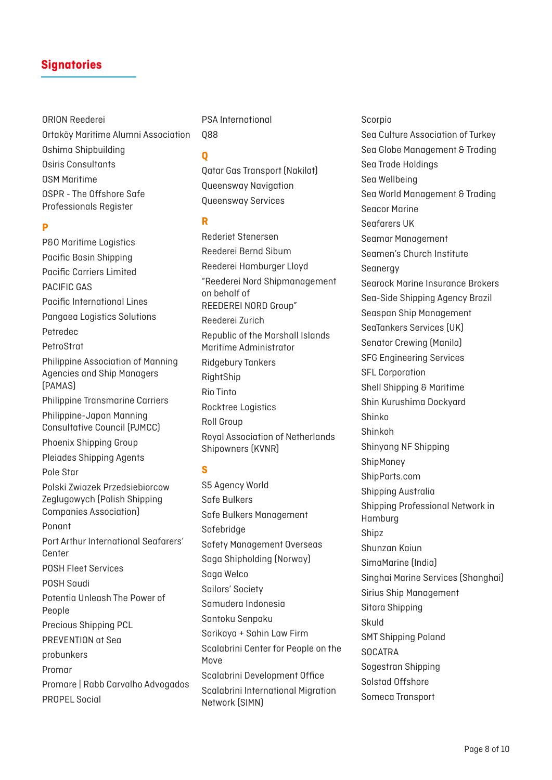ORION Reederei Ortaköy Maritime Alumni Association Oshima Shipbuilding Osiris Consultants OSM Maritime OSPR - The Offshore Safe Professionals Register

#### **P**

P&O Maritime Logistics Pacific Basin Shipping Pacific Carriers Limited PACIFIC GAS Pacific International Lines Pangaea Logistics Solutions Petredec PetroStrat Philippine Association of Manning Agencies and Ship Managers (PAMAS) Philippine Transmarine Carriers Philippine-Japan Manning Consultative Council (PJMCC) Phoenix Shipping Group Pleiades Shipping Agents Pole Star Polski Zwiazek Przedsiebiorcow Zeglugowych (Polish Shipping Companies Association) Ponant Port Arthur International Seafarers' **Center** POSH Fleet Services POSH Saudi Potentia Unleash The Power of People Precious Shipping PCL PREVENTION at Sea probunkers Promar Promare | Rabb Carvalho Advogados PROPEL Social

PSA International Q88

#### **Q**

Qatar Gas Transport (Nakilat) Queensway Navigation Queensway Services

#### **R**

Rederiet Stenersen Reederei Bernd Sibum Reederei Hamburger Lloyd "Reederei Nord Shipmanagement on behalf of REEDEREI NORD Group" Reederei Zurich Republic of the Marshall Islands Maritime Administrator Ridgebury Tankers RightShip Rio Tinto Rocktree Logistics Roll Group Royal Association of Netherlands Shipowners (KVNR)

## **S**

S5 Agency World Safe Bulkers Safe Bulkers Management Safebridge Safety Management Overseas Saga Shipholding (Norway) Saga Welco Sailors' Society Samudera Indonesia Santoku Senpaku Sarikaya + Sahin Law Firm Scalabrini Center for People on the Move Scalabrini Development Office Scalabrini International Migration Network (SIMN)

#### Scorpio

Sea Culture Association of Turkey Sea Globe Management & Trading Sea Trade Holdings Sea Wellbeing Sea World Management & Trading Seacor Marine Seafarers UK Seamar Management Seamen's Church Institute Seanergy Searock Marine Insurance Brokers Sea-Side Shipping Agency Brazil Seaspan Ship Management SeaTankers Services (UK) Senator Crewing (Manila) SFG Engineering Services SFL Corporation Shell Shipping & Maritime Shin Kurushima Dockyard Shinko Shinkoh Shinyang NF Shipping ShipMoney ShipParts.com Shipping Australia Shipping Professional Network in Hamburg Shipz Shunzan Kaiun SimaMarine (India) Singhai Marine Services (Shanghai) Sirius Ship Management Sitara Shipping Skuld SMT Shipping Poland **SOCATRA** Sogestran Shipping Solstad Offshore Someca Transport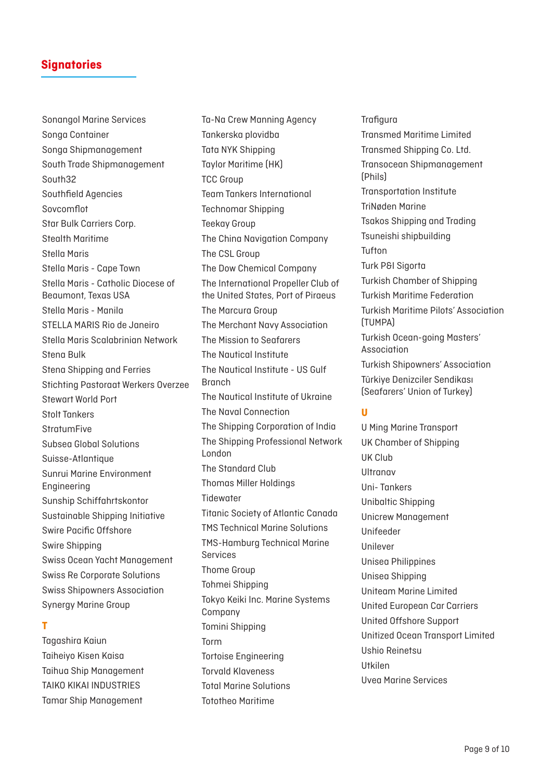Sonangol Marine Services Songa Container Songa Shipmanagement South Trade Shipmanagement South32 Southfield Agencies Sovcomflot Star Bulk Carriers Corp. Stealth Maritime Stella Maris Stella Maris - Cape Town Stella Maris - Catholic Diocese of Beaumont, Texas USA Stella Maris - Manila STELLA MARIS Rio de Janeiro Stella Maris Scalabrinian Network Stena Bulk Stena Shipping and Ferries Stichting Pastoraat Werkers Overzee Stewart World Port Stolt Tankers **StratumFive** Subsea Global Solutions Suisse-Atlantique Sunrui Marine Environment Engineering Sunship Schiffahrtskontor Sustainable Shipping Initiative Swire Pacific Offshore Swire Shipping Swiss Ocean Yacht Management Swiss Re Corporate Solutions Swiss Shipowners Association Synergy Marine Group

## **T**

Tagashira Kaiun Taiheiyo Kisen Kaisa Taihua Ship Management TAIKO KIKAI INDUSTRIES Tamar Ship Management

Ta-Na Crew Manning Agency Tankerska plovidba Tata NYK Shipping Taylor Maritime (HK) TCC Group Team Tankers International Technomar Shipping Teekay Group The China Navigation Company The CSL Group The Dow Chemical Company The International Propeller Club of the United States, Port of Piraeus The Marcura Group The Merchant Navy Association The Mission to Seafarers The Nautical Institute The Nautical Institute - US Gulf Branch The Nautical Institute of Ukraine The Naval Connection The Shipping Corporation of India The Shipping Professional Network London The Standard Club Thomas Miller Holdings **Tidewater** Titanic Society of Atlantic Canada TMS Technical Marine Solutions TMS-Hamburg Technical Marine **Services** Thome Group Tohmei Shipping Tokyo Keiki Inc. Marine Systems Company Tomini Shipping Torm Tortoise Engineering Torvald Klaveness Total Marine Solutions

Tototheo Maritime

**Trafigura** Transmed Maritime Limited Transmed Shipping Co. Ltd. Transocean Shipmanagement (Phils) Transportation Institute TriNøden Marine Tsakos Shipping and Trading Tsuneishi shipbuilding Tufton Turk P&I Sigorta Turkish Chamber of Shipping Turkish Maritime Federation Turkish Maritime Pilots' Association (TUMPA) Turkish Ocean-going Masters' Association Turkish Shipowners' Association Türkiye Denizciler Sendikası (Seafarers' Union of Turkey)

#### **U**

U Ming Marine Transport UK Chamber of Shipping UK Club Ultranav Uni- Tankers Unibaltic Shipping Unicrew Management Unifeeder Unilever Unisea Philippines Unisea Shipping Uniteam Marine Limited United European Car Carriers United Offshore Support Unitized Ocean Transport Limited Ushio Reinetsu Utkilen Uvea Marine Services